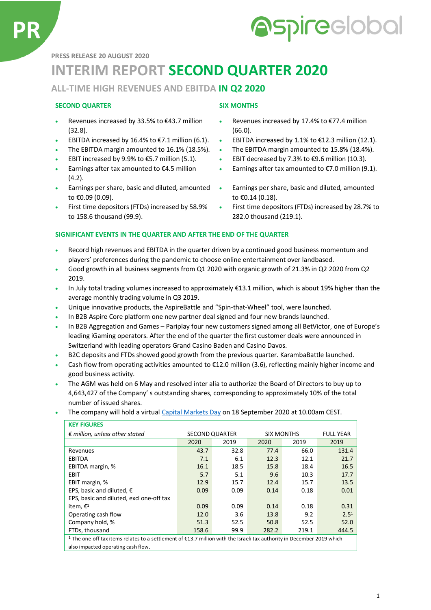# **Aspireclobal**

**PRESS RELEASE 20 AUGUST 2020**

## **INTERIM REPORT SECOND QUARTER 2020**

#### **ALL-TIME HIGH REVENUES AND EBITDA IN Q2 2020**

#### **SECOND QUARTER SIX MONTHS**

- Revenues increased by 33.5% to €43.7 million (32.8).
- 
- 
- 
- Earnings after tax amounted to  $\epsilon$ 4.5 million (4.2).
- Earnings per share, basic and diluted, amounted to €0.09 (0.09).
- First time depositors (FTDs) increased by 58.9% to 158.6 thousand (99.9).

- Revenues increased by 17.4% to €77.4 million (66.0).
- EBITDA increased by 16.4% to €7.1 million (6.1). EBITDA increased by 1.1% to €12.3 million (12.1).
- The EBITDA margin amounted to 16.1% (18.5%). The EBITDA margin amounted to 15.8% (18.4%).
- EBIT increased by 9.9% to €5.7 million (5.1).  $\bullet$  EBIT decreased by 7.3% to €9.6 million (10.3).
	- Earnings after tax amounted to  $E$ 7.0 million (9.1).
	- Earnings per share, basic and diluted, amounted to €0.14 (0.18).
	- First time depositors (FTDs) increased by 28.7% to 282.0 thousand (219.1).

#### **SIGNIFICANT EVENTS IN THE QUARTER AND AFTER THE END OF THE QUARTER**

- Record high revenues and EBITDA in the quarter driven by a continued good business momentum and players' preferences during the pandemic to choose online entertainment over landbased.
- Good growth in all business segments from Q1 2020 with organic growth of 21.3% in Q2 2020 from Q2 2019.
- In July total trading volumes increased to approximately €13.1 million, which is about 19% higher than the average monthly trading volume in Q3 2019.
- Unique innovative products, the AspireBattle and "Spin-that-Wheel" tool, were launched.
- In B2B Aspire Core platform one new partner deal signed and four new brands launched.
- In B2B Aggregation and Games Pariplay four new customers signed among all BetVictor, one of Europe's leading iGaming operators. After the end of the quarter the first customer deals were announced in Switzerland with leading operators Grand Casino Baden and Casino Davos.
- B2C deposits and FTDs showed good growth from the previous quarter. KarambaBattle launched.
- Cash flow from operating activities amounted to  $E12.0$  million (3.6), reflecting mainly higher income and good business activity.
- The AGM was held on 6 May and resolved inter alia to authorize the Board of Directors to buy up to 4,643,427 of the Company' s outstanding shares, corresponding to approximately 10% of the total number of issued shares.
- The company will hold a virtua[l Capital Markets Day](https://financialhearings.com/event/13002) on 18 September 2020 at 10.00am CEST.

| <b>KEY FIGURES</b>                                                                                                                |                       |      |                   |       |                  |
|-----------------------------------------------------------------------------------------------------------------------------------|-----------------------|------|-------------------|-------|------------------|
| $\epsilon$ million, unless other stated                                                                                           | <b>SECOND QUARTER</b> |      | <b>SIX MONTHS</b> |       | <b>FULL YEAR</b> |
|                                                                                                                                   | 2020                  | 2019 | 2020              | 2019  | 2019             |
| Revenues                                                                                                                          | 43.7                  | 32.8 | 77.4              | 66.0  | 131.4            |
| EBITDA                                                                                                                            | 7.1                   | 6.1  | 12.3              | 12.1  | 21.7             |
| EBITDA margin, %                                                                                                                  | 16.1                  | 18.5 | 15.8              | 18.4  | 16.5             |
| <b>EBIT</b>                                                                                                                       | 5.7                   | 5.1  | 9.6               | 10.3  | 17.7             |
| EBIT margin, %                                                                                                                    | 12.9                  | 15.7 | 12.4              | 15.7  | 13.5             |
| EPS, basic and diluted, $\epsilon$                                                                                                | 0.09                  | 0.09 | 0.14              | 0.18  | 0.01             |
| EPS, basic and diluted, excl one-off tax                                                                                          |                       |      |                   |       |                  |
| item, $\epsilon^1$                                                                                                                | 0.09                  | 0.09 | 0.14              | 0.18  | 0.31             |
| Operating cash flow                                                                                                               | 12.0                  | 3.6  | 13.8              | 9.2   | 2.5 <sup>1</sup> |
| Company hold, %                                                                                                                   | 51.3                  | 52.5 | 50.8              | 52.5  | 52.0             |
| FTDs, thousand                                                                                                                    | 158.6                 | 99.9 | 282.2             | 219.1 | 444.5            |
| <sup>1</sup> The one-off tax items relates to a settlement of €13.7 million with the Israeli tax authority in December 2019 which |                       |      |                   |       |                  |
| also impacted operating cash flow.                                                                                                |                       |      |                   |       |                  |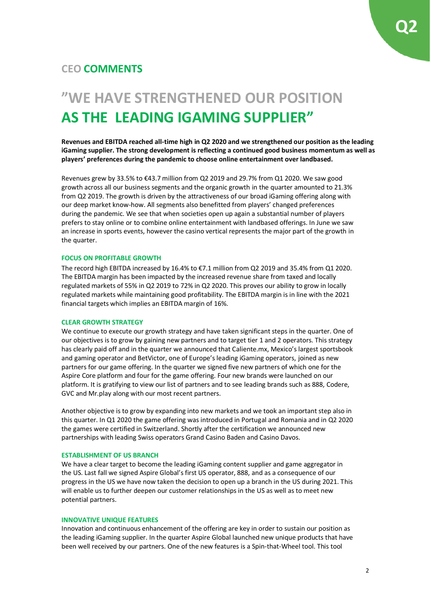### **CEO COMMENTS**

## **"WE HAVE STRENGTHENED OUR POSITION AS THE LEADING IGAMING SUPPLIER"**

**Revenues and EBITDA reached all-time high in Q2 2020 and we strengthened our position as the leading iGaming supplier. The strong development is reflecting a continued good business momentum as well as players' preferences during the pandemic to choose online entertainment over landbased.**

Revenues grew by 33.5% to €43.7 million from Q2 2019 and 29.7% from Q1 2020. We saw good growth across all our business segments and the organic growth in the quarter amounted to 21.3% from Q2 2019. The growth is driven by the attractiveness of our broad iGaming offering along with our deep market know-how. All segments also benefitted from players' changed preferences during the pandemic. We see that when societies open up again a substantial number of players prefers to stay online or to combine online entertainment with landbased offerings. In June we saw an increase in sports events, however the casino vertical represents the major part of the growth in the quarter.

#### **FOCUS ON PROFITABLE GROWTH**

The record high EBITDA increased by 16.4% to €7.1 million from Q2 2019 and 35.4% from Q1 2020. The EBITDA margin has been impacted by the increased revenue share from taxed and locally regulated markets of 55% in Q2 2019 to 72% in Q2 2020. This proves our ability to grow in locally regulated markets while maintaining good profitability. The EBITDA margin is in line with the 2021 financial targets which implies an EBITDA margin of 16%.

#### **CLEAR GROWTH STRATEGY**

We continue to execute our growth strategy and have taken significant steps in the quarter. One of our objectives is to grow by gaining new partners and to target tier 1 and 2 operators. This strategy has clearly paid off and in the quarter we announced that Caliente.mx, Mexico's largest sportsbook and gaming operator and BetVictor, one of Europe's leading iGaming operators, joined as new partners for our game offering. In the quarter we signed five new partners of which one for the Aspire Core platform and four for the game offering. Four new brands were launched on our platform. It is gratifying to view our list of partners and to see leading brands such as 888, Codere, GVC and Mr.play along with our most recent partners.

Another objective is to grow by expanding into new markets and we took an important step also in this quarter. In Q1 2020 the game offering was introduced in Portugal and Romania and in Q2 2020 the games were certified in Switzerland. Shortly after the certification we announced new partnerships with leading Swiss operators Grand Casino Baden and Casino Davos.

#### **ESTABLISHMENT OF US BRANCH**

We have a clear target to become the leading iGaming content supplier and game aggregator in the US. Last fall we signed Aspire Global's first US operator, 888, and as a consequence of our progress in the US we have now taken the decision to open up a branch in the US during 2021. This will enable us to further deepen our customer relationships in the US as well as to meet new potential partners.

#### **INNOVATIVE UNIQUE FEATURES**

Innovation and continuous enhancement of the offering are key in order to sustain our position as the leading iGaming supplier. In the quarter Aspire Global launched new unique products that have been well received by our partners. One of the new features is a Spin-that-Wheel tool. This tool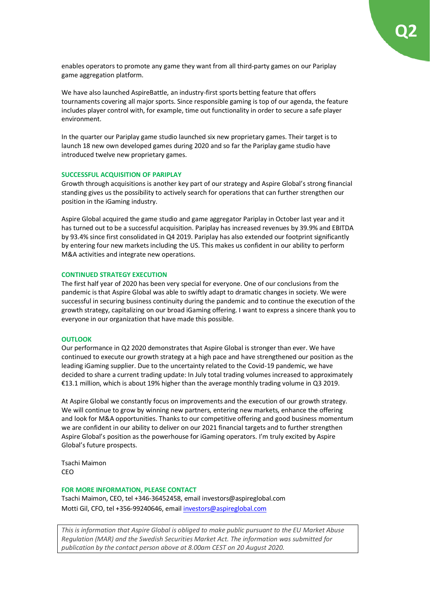enables operators to promote any game they want from all third-party games on our Pariplay game aggregation platform.

We have also launched AspireBattle, an industry-first sports betting feature that offers tournaments covering all major sports. Since responsible gaming is top of our agenda, the feature includes player control with, for example, time out functionality in order to secure a safe player environment.

In the quarter our Pariplay game studio launched six new proprietary games. Their target is to launch 18 new own developed games during 2020 and so far the Pariplay game studio have introduced twelve new proprietary games.

#### **SUCCESSFUL ACQUISITION OF PARIPLAY**

Growth through acquisitions is another key part of our strategy and Aspire Global's strong financial standing gives us the possibility to actively search for operations that can further strengthen our position in the iGaming industry.

Aspire Global acquired the game studio and game aggregator Pariplay in October last year and it has turned out to be a successful acquisition. Pariplay has increased revenues by 39.9% and EBITDA by 93.4% since first consolidated in Q4 2019. Pariplay has also extended our footprint significantly by entering four new markets including the US. This makes us confident in our ability to perform M&A activities and integrate new operations.

#### **CONTINUED STRATEGY EXECUTION**

The first half year of 2020 has been very special for everyone. One of our conclusions from the pandemic is that Aspire Global was able to swiftly adapt to dramatic changes in society. We were successful in securing business continuity during the pandemic and to continue the execution of the growth strategy, capitalizing on our broad iGaming offering. I want to express a sincere thank you to everyone in our organization that have made this possible.

#### **OUTLOOK**

Our performance in Q2 2020 demonstrates that Aspire Global is stronger than ever. We have continued to execute our growth strategy at a high pace and have strengthened our position as the leading iGaming supplier. Due to the uncertainty related to the Covid-19 pandemic, we have decided to share a current trading update: In July total trading volumes increased to approximately €13.1 million, which is about 19% higher than the average monthly trading volume in Q3 2019.

At Aspire Global we constantly focus on improvements and the execution of our growth strategy. We will continue to grow by winning new partners, entering new markets, enhance the offering and look for M&A opportunities. Thanks to our competitive offering and good business momentum we are confident in our ability to deliver on our 2021 financial targets and to further strengthen Aspire Global's position as the powerhouse for iGaming operators. I'm truly excited by Aspire Global's future prospects.

Tsachi Maimon CEO

#### **FOR MORE INFORMATION, PLEASE CONTACT**

Tsachi Maimon, CEO, tel +346-36452458, email investors@aspireglobal.com Motti Gil, CFO, tel +356-99240646, email [investors@aspireglobal.com](mailto:investors@aspireglobal.com)

*This is information that Aspire Global is obliged to make public pursuant to the EU Market Abuse Regulation (MAR) and the Swedish Securities Market Act. The information was submitted for publication by the contact person above at 8.00am CEST on 20 August 2020.*